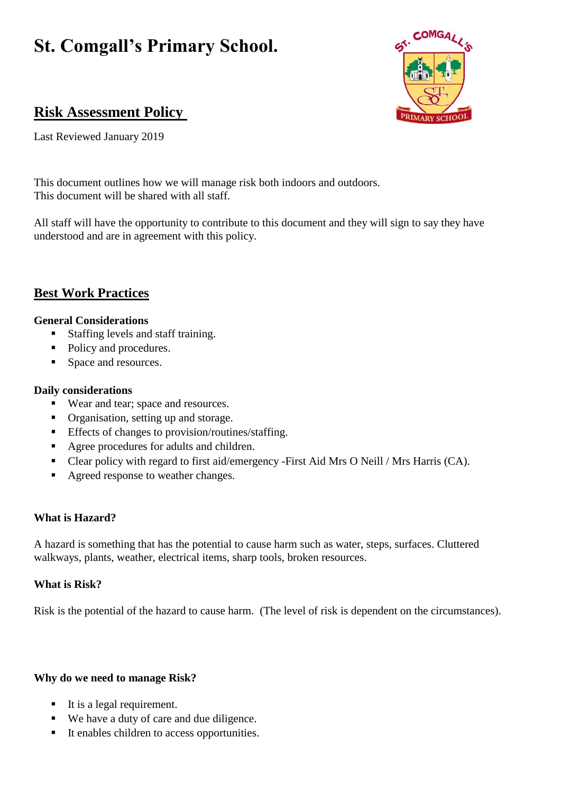# **St. Comgall's Primary School.**



## **Risk Assessment Policy**

Last Reviewed January 2019

This document outlines how we will manage risk both indoors and outdoors. This document will be shared with all staff.

All staff will have the opportunity to contribute to this document and they will sign to say they have understood and are in agreement with this policy.

## **Best Work Practices**

## **General Considerations**

- Staffing levels and staff training.
- Policy and procedures.
- Space and resources.

## **Daily considerations**

- Wear and tear; space and resources.
- Organisation, setting up and storage.
- **Effects of changes to provision/routines/staffing.**
- Agree procedures for adults and children.
- Clear policy with regard to first aid/emergency -First Aid Mrs O Neill / Mrs Harris (CA).
- Agreed response to weather changes.

## **What is Hazard?**

A hazard is something that has the potential to cause harm such as water, steps, surfaces. Cluttered walkways, plants, weather, electrical items, sharp tools, broken resources.

## **What is Risk?**

Risk is the potential of the hazard to cause harm. (The level of risk is dependent on the circumstances).

## **Why do we need to manage Risk?**

- $\blacksquare$  It is a legal requirement.
- We have a duty of care and due diligence.
- It enables children to access opportunities.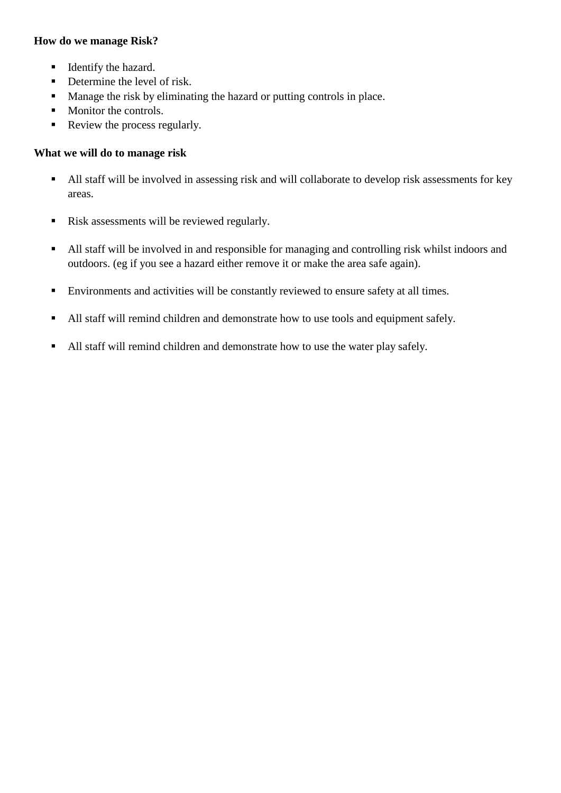## **How do we manage Risk?**

- **IDENTIFY** the hazard.
- Determine the level of risk.
- Manage the risk by eliminating the hazard or putting controls in place.
- Monitor the controls.
- Review the process regularly.

## **What we will do to manage risk**

- All staff will be involved in assessing risk and will collaborate to develop risk assessments for key areas.
- Risk assessments will be reviewed regularly.
- All staff will be involved in and responsible for managing and controlling risk whilst indoors and outdoors. (eg if you see a hazard either remove it or make the area safe again).
- Environments and activities will be constantly reviewed to ensure safety at all times.
- All staff will remind children and demonstrate how to use tools and equipment safely.
- All staff will remind children and demonstrate how to use the water play safely.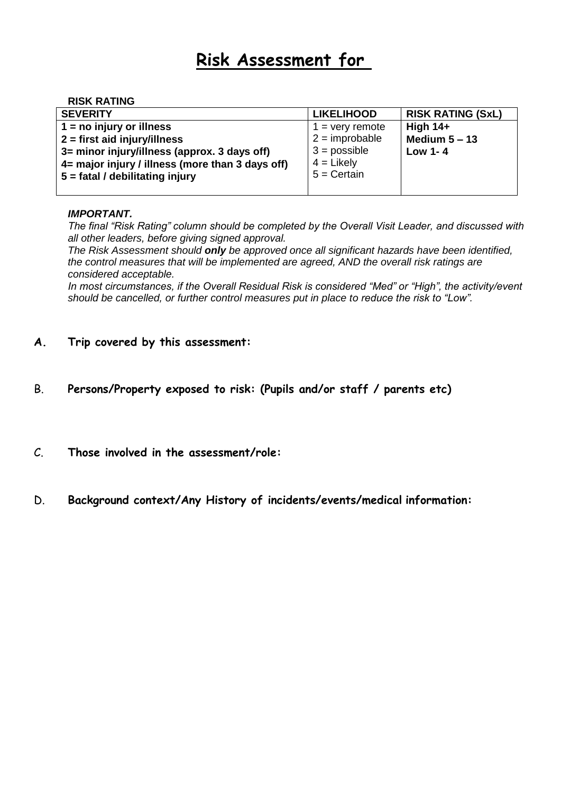# **Risk Assessment for**

#### **RISK RATING**

| <b>SEVERITY</b>                                  | <b>LIKELIHOOD</b> | <b>RISK RATING (SxL)</b> |
|--------------------------------------------------|-------------------|--------------------------|
| $1 = no$ injury or illness                       | $1 =$ very remote | High $14+$               |
| $2 =$ first aid injury/illness                   | $2 =$ improbable  | Medium $5 - 13$          |
| 3= minor injury/illness (approx. 3 days off)     | $3 =$ possible    | Low 1-4                  |
| 4= major injury / illness (more than 3 days off) | $4 =$ Likely      |                          |
| 5 = fatal / debilitating injury                  | $5 =$ Certain     |                          |
|                                                  |                   |                          |

#### *IMPORTANT.*

*The final "Risk Rating" column should be completed by the Overall Visit Leader, and discussed with all other leaders, before giving signed approval.*

*The Risk Assessment should only be approved once all significant hazards have been identified, the control measures that will be implemented are agreed, AND the overall risk ratings are considered acceptable.*

*In most circumstances, if the Overall Residual Risk is considered "Med" or "High", the activity/event should be cancelled, or further control measures put in place to reduce the risk to "Low".*

## **A. Trip covered by this assessment:**

- B. **Persons/Property exposed to risk: (Pupils and/or staff / parents etc)**
- C. **Those involved in the assessment/role:**
- D. **Background context/Any History of incidents/events/medical information:**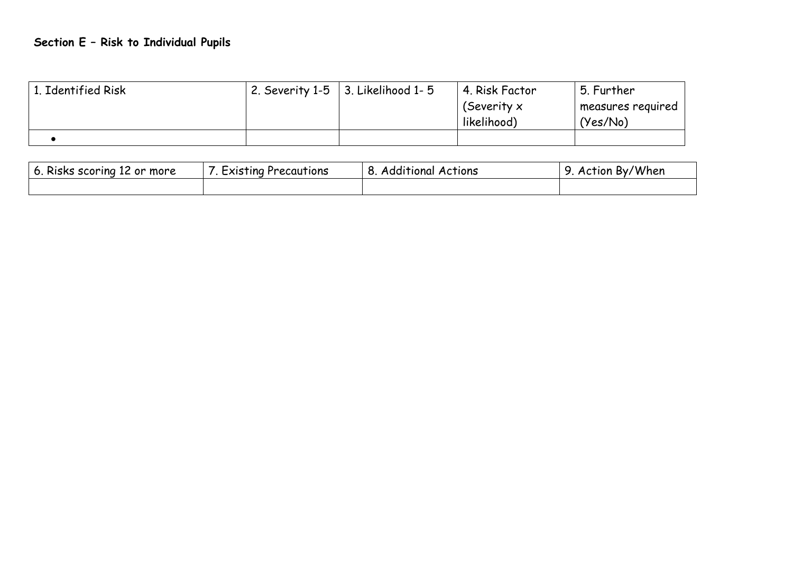# **Section E – Risk to Individual Pupils**

| 1. Identified Risk | 2. Severity 1-5 $\vert$ 3. Likelihood 1-5 | 4. Risk Factor | 5. Further        |
|--------------------|-------------------------------------------|----------------|-------------------|
|                    |                                           | (Severity $x$  | measures reguired |
|                    |                                           | likelihood)    | (Yes/No)          |
|                    |                                           |                |                   |

| Risks scoring<br>more<br>. 12 or | $\overline{\phantom{a}}$<br>EXISTING Precautions | .<br>o<br><b>Actions</b><br><b>Additional</b><br>ັ | By/When<br>Action<br>ີ |
|----------------------------------|--------------------------------------------------|----------------------------------------------------|------------------------|
|                                  |                                                  |                                                    |                        |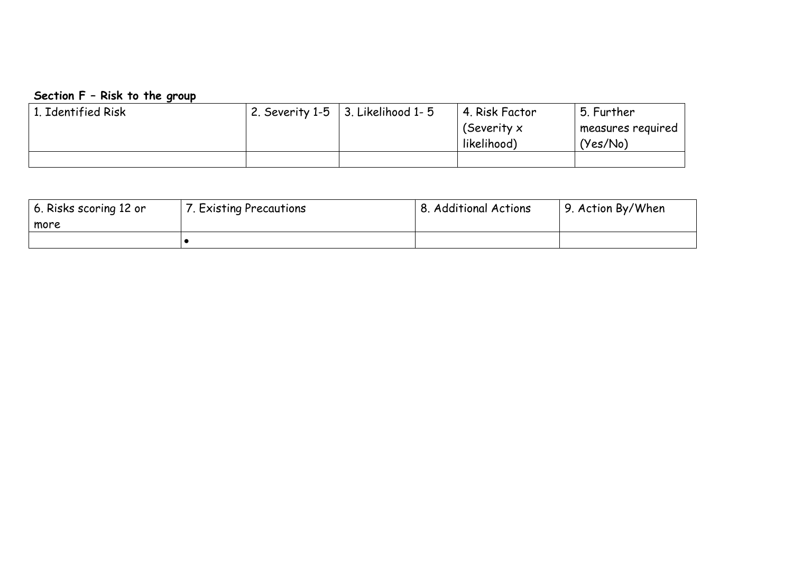## **Section F – Risk to the group**

| 1. Identified Risk | $\vert$ 2. Severity 1-5 $\vert$ 3. Likelihood 1-5 | 4. Risk Factor | 5. Further        |
|--------------------|---------------------------------------------------|----------------|-------------------|
|                    |                                                   | (Severity x    | measures reguired |
|                    |                                                   | likelihood)    | (Yes/No)          |
|                    |                                                   |                |                   |

| 6. Risks scoring 12 or | . Existing Precautions | <b>8. Additional Actions</b> | 9. Action By/When |
|------------------------|------------------------|------------------------------|-------------------|
| more                   |                        |                              |                   |
|                        |                        |                              |                   |